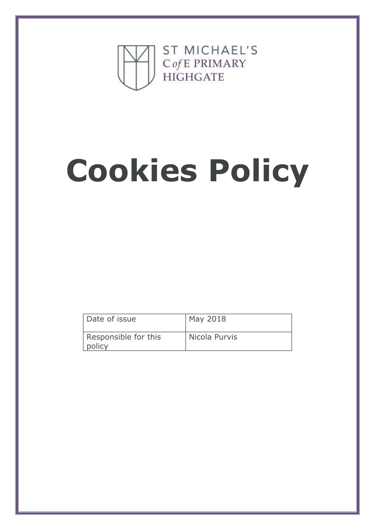

# **Cookies Policy**

| Date of issue                  | May 2018      |
|--------------------------------|---------------|
| Responsible for this<br>policy | Nicola Purvis |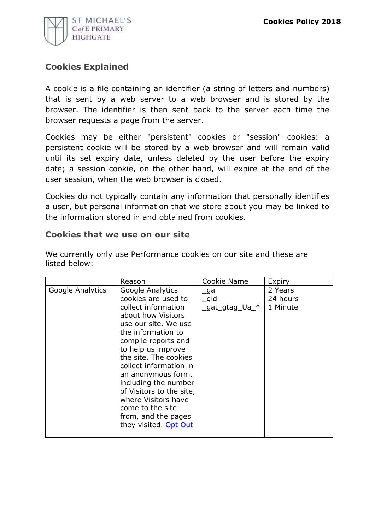

## **Cookies Explained**

A cookie is a file containing an identifier (a string of letters and numbers) that is sent by a web server to a web browser and is stored by the browser. The identifier is then sent back to the server each time the browser requests a page from the server.

Cookies may be either "persistent" cookies or "session" cookies: a persistent cookie will be stored by a web browser and will remain valid until its set expiry date, unless deleted by the user before the expiry date; a session cookie, on the other hand, will expire at the end of the user session, when the web browser is closed.

Cookies do not typically contain any information that personally identifies a user, but personal information that we store about you may be linked to the information stored in and obtained from cookies.

## **Cookies that we use on our site**

|                  | Reason                                                                                                                                                                                                                                                                                                                                                                                                  | Cookie Name                          | Expiry                          |
|------------------|---------------------------------------------------------------------------------------------------------------------------------------------------------------------------------------------------------------------------------------------------------------------------------------------------------------------------------------------------------------------------------------------------------|--------------------------------------|---------------------------------|
| Google Analytics | Google Analytics<br>cookies are used to<br>collect information<br>about how Visitors<br>use our site. We use<br>the information to<br>compile reports and<br>to help us improve<br>the site. The cookies<br>collect information in<br>an anonymous form,<br>including the number<br>of Visitors to the site,<br>where Visitors have<br>come to the site<br>from, and the pages<br>they visited. Opt Out | _ga<br>$\_$ gid<br>$gat_gtag$ Ua $*$ | 2 Years<br>24 hours<br>1 Minute |

We currently only use Performance cookies on our site and these are listed below: